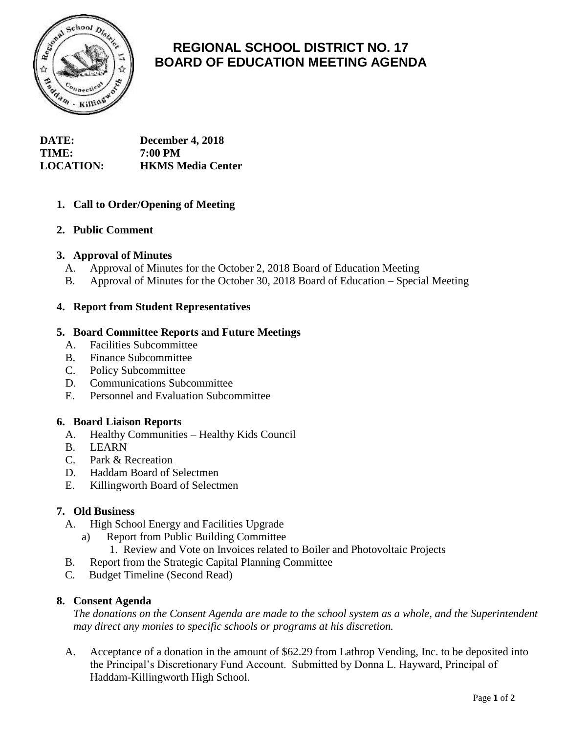

# **REGIONAL SCHOOL DISTRICT NO. 17 BOARD OF EDUCATION MEETING AGENDA**

| <b>DATE:</b>     | December 4, 2018         |
|------------------|--------------------------|
| <b>TIME:</b>     | 7:00 PM                  |
| <b>LOCATION:</b> | <b>HKMS Media Center</b> |

# **1. Call to Order/Opening of Meeting**

# **2. Public Comment**

# **3. Approval of Minutes**

- A. Approval of Minutes for the October 2, 2018 Board of Education Meeting
- B. Approval of Minutes for the October 30, 2018 Board of Education Special Meeting

# **4. Report from Student Representatives**

## **5. Board Committee Reports and Future Meetings**

- A. Facilities Subcommittee
- B. Finance Subcommittee
- C. Policy Subcommittee
- D. Communications Subcommittee
- E. Personnel and Evaluation Subcommittee

#### **6. Board Liaison Reports**

- A. Healthy Communities Healthy Kids Council
- B. LEARN
- C. Park & Recreation
- D. Haddam Board of Selectmen
- E. Killingworth Board of Selectmen

#### **7. Old Business**

- A. High School Energy and Facilities Upgrade
	- a) Report from Public Building Committee
		- 1. Review and Vote on Invoices related to Boiler and Photovoltaic Projects
- B. Report from the Strategic Capital Planning Committee
- C. Budget Timeline (Second Read)

#### **8. Consent Agenda**

*The donations on the Consent Agenda are made to the school system as a whole, and the Superintendent may direct any monies to specific schools or programs at his discretion.*

A. Acceptance of a donation in the amount of \$62.29 from Lathrop Vending, Inc. to be deposited into the Principal's Discretionary Fund Account. Submitted by Donna L. Hayward, Principal of Haddam-Killingworth High School.